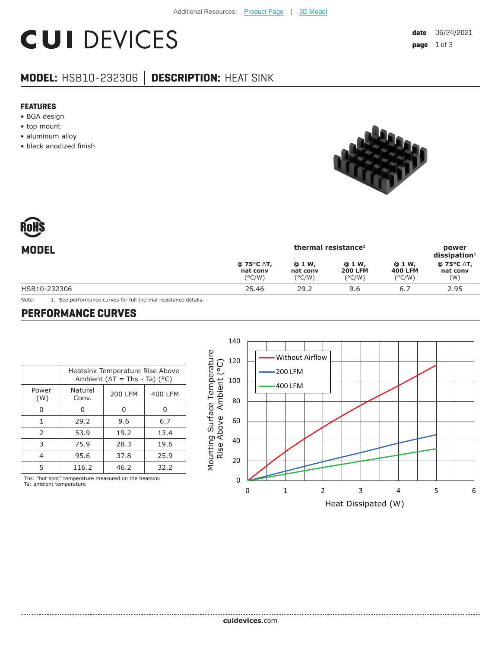# **CUI DEVICES**

### **MODEL:** HSB10-232306 **│ DESCRIPTION:** HEAT SINK

#### **FEATURES**

- BGA design
- top mount
- aluminum alloy
- black anodized finish



| <b>MODEL</b> |                                           | power<br>$dis$ sipation <sup>1</sup>  |                                             |                                    |                               |
|--------------|-------------------------------------------|---------------------------------------|---------------------------------------------|------------------------------------|-------------------------------|
|              | @ 75°C ∆T,<br>nat conv<br>$(^{\circ}C/W)$ | @ 1 W,<br>nat conv<br>$(^{\circ}C/W)$ | @ 1 W,<br><b>200 LFM</b><br>$(^{\circ}C/W)$ | @ 1 W,<br><b>400 LFM</b><br>(°C/W) | @ 75°C ∆T,<br>nat conv<br>(W) |
| HSB10-232306 | 25.46                                     | 29.2                                  | 9.6                                         | 6.7                                | 2.95                          |

Note: 1. See performance curves for full thermal resistance details.

#### **PERFORMANCE CURVES**

|               | Heatsink Temperature Rise Above<br>Ambient ( $\Delta T$ = Ths - Ta) (°C) |                |         |  |
|---------------|--------------------------------------------------------------------------|----------------|---------|--|
| Power<br>(W)  | Natural<br>Conv.                                                         | <b>200 LFM</b> | 400 LFM |  |
| O             | O                                                                        | O              | O       |  |
| 1             | 29.2                                                                     | 9.6            | 6.7     |  |
| $\mathcal{P}$ | 53.9                                                                     | 19.2           | 13.4    |  |
| 3             | 75.9                                                                     | 28.3           | 19.6    |  |
| 4             | 95.6                                                                     | 37.8           | 25.9    |  |
| 5             | 116.2                                                                    | 46.2           | 32.2    |  |

Ths: "hot spot" temperature measured on the heatsink Ta: ambient temperature

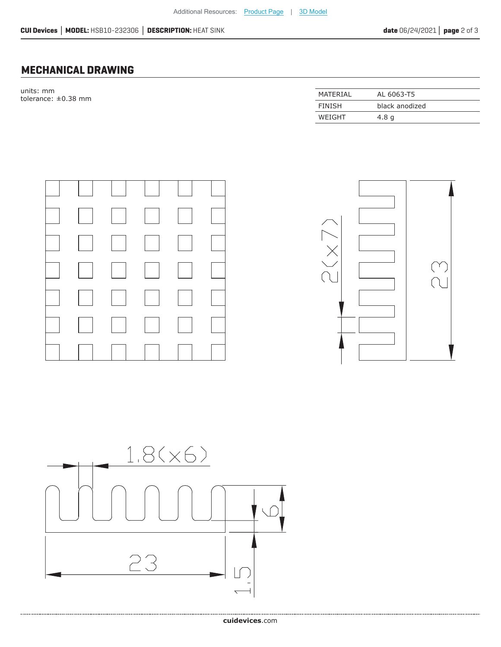#### **MECHANICAL DRAWING**

units: mm tolerance:  $\pm 0.38$  mm

| MATFRIAI      | AL 6063-T5       |
|---------------|------------------|
| <b>FINISH</b> | black anodized   |
| WEIGHT        | 4.8 <sub>q</sub> |